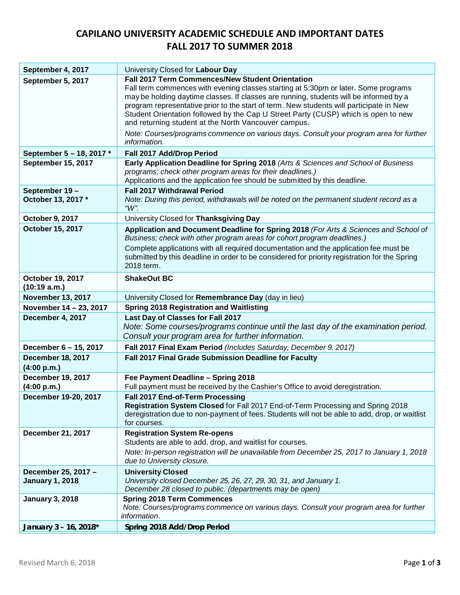## **CAPILANO UNIVERSITY ACADEMIC SCHEDULE AND IMPORTANT DATES FALL 2017 TO SUMMER 2018**

| September 4, 2017                             | University Closed for Labour Day                                                                                                                                                                                                                                                                                                                                                                                                                                                                                                                                                            |
|-----------------------------------------------|---------------------------------------------------------------------------------------------------------------------------------------------------------------------------------------------------------------------------------------------------------------------------------------------------------------------------------------------------------------------------------------------------------------------------------------------------------------------------------------------------------------------------------------------------------------------------------------------|
| September 5, 2017                             | <b>Fall 2017 Term Commences/New Student Orientation</b><br>Fall term commences with evening classes starting at 5:30pm or later. Some programs<br>may be holding daytime classes. If classes are running, students will be informed by a<br>program representative prior to the start of term. New students will participate in New<br>Student Orientation followed by the Cap U Street Party (CUSP) which is open to new<br>and returning student at the North Vancouver campus.<br>Note: Courses/programs commence on various days. Consult your program area for further<br>information. |
| September 5 - 18, 2017 *                      | Fall 2017 Add/Drop Period                                                                                                                                                                                                                                                                                                                                                                                                                                                                                                                                                                   |
| September 15, 2017                            | Early Application Deadline for Spring 2018 (Arts & Sciences and School of Business<br>programs; check other program areas for their deadlines.)<br>Applications and the application fee should be submitted by this deadline.                                                                                                                                                                                                                                                                                                                                                               |
| September 19-<br>October 13, 2017 *           | <b>Fall 2017 Withdrawal Period</b><br>Note: During this period, withdrawals will be noted on the permanent student record as a<br>" $W$ ".                                                                                                                                                                                                                                                                                                                                                                                                                                                  |
| October 9, 2017                               | University Closed for Thanksgiving Day                                                                                                                                                                                                                                                                                                                                                                                                                                                                                                                                                      |
| October 15, 2017                              | Application and Document Deadline for Spring 2018 (For Arts & Sciences and School of<br>Business; check with other program areas for cohort program deadlines.)                                                                                                                                                                                                                                                                                                                                                                                                                             |
|                                               | Complete applications with all required documentation and the application fee must be<br>submitted by this deadline in order to be considered for priority registration for the Spring<br>2018 term.                                                                                                                                                                                                                                                                                                                                                                                        |
| October 19, 2017<br>(10:19 a.m.)              | <b>ShakeOut BC</b>                                                                                                                                                                                                                                                                                                                                                                                                                                                                                                                                                                          |
| <b>November 13, 2017</b>                      | University Closed for Remembrance Day (day in lieu)                                                                                                                                                                                                                                                                                                                                                                                                                                                                                                                                         |
| November 14 - 23, 2017                        | <b>Spring 2018 Registration and Waitlisting</b>                                                                                                                                                                                                                                                                                                                                                                                                                                                                                                                                             |
| December 4, 2017                              | Last Day of Classes for Fall 2017<br>Note: Some courses/programs continue until the last day of the examination period.<br>Consult your program area for further information.                                                                                                                                                                                                                                                                                                                                                                                                               |
| December 6 - 15, 2017                         | Fall 2017 Final Exam Period (Includes Saturday, December 9, 2017)                                                                                                                                                                                                                                                                                                                                                                                                                                                                                                                           |
| <b>December 18, 2017</b><br>(4:00 p.m.)       | Fall 2017 Final Grade Submission Deadline for Faculty                                                                                                                                                                                                                                                                                                                                                                                                                                                                                                                                       |
| <b>December 19, 2017</b><br>(4:00 p.m.)       | Fee Payment Deadline - Spring 2018<br>Full payment must be received by the Cashier's Office to avoid deregistration.                                                                                                                                                                                                                                                                                                                                                                                                                                                                        |
| December 19-20, 2017                          | Fall 2017 End-of-Term Processing<br>Registration System Closed for Fall 2017 End-of-Term Processing and Spring 2018<br>deregistration due to non-payment of fees. Students will not be able to add, drop, or waitlist<br>for courses.                                                                                                                                                                                                                                                                                                                                                       |
| <b>December 21, 2017</b>                      | <b>Registration System Re-opens</b><br>Students are able to add, drop, and waitlist for courses.<br>Note: In-person registration will be unavailable from December 25, 2017 to January 1, 2018<br>due to University closure.                                                                                                                                                                                                                                                                                                                                                                |
| December 25, 2017 -<br><b>January 1, 2018</b> | <b>University Closed</b><br>University closed December 25, 26, 27, 29, 30, 31, and January 1.<br>December 28 closed to public. (departments may be open)                                                                                                                                                                                                                                                                                                                                                                                                                                    |
| <b>January 3, 2018</b>                        | <b>Spring 2018 Term Commences</b><br>Note: Courses/programs commence on various days. Consult your program area for further<br><i>information.</i>                                                                                                                                                                                                                                                                                                                                                                                                                                          |
| January 3 - 16, 2018*                         | Spring 2018 Add/Drop Period                                                                                                                                                                                                                                                                                                                                                                                                                                                                                                                                                                 |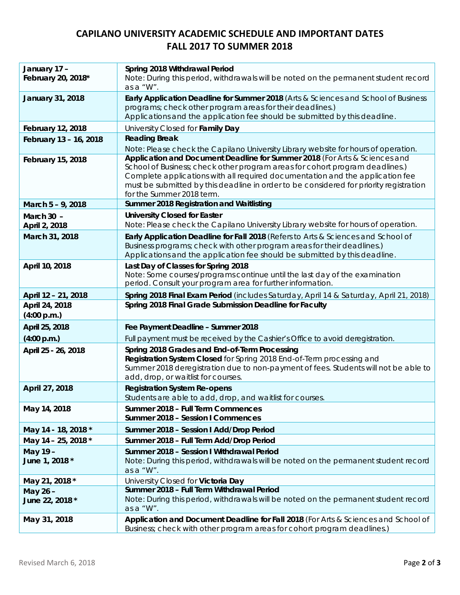## **CAPILANO UNIVERSITY ACADEMIC SCHEDULE AND IMPORTANT DATES FALL 2017 TO SUMMER 2018**

| January 17 -<br>February 20, 2018* | Spring 2018 Withdrawal Period<br>Note: During this period, withdrawals will be noted on the permanent student record<br>as a "W".                                                                                                                                                                                                                                  |
|------------------------------------|--------------------------------------------------------------------------------------------------------------------------------------------------------------------------------------------------------------------------------------------------------------------------------------------------------------------------------------------------------------------|
| <b>January 31, 2018</b>            | Early Application Deadline for Summer 2018 (Arts & Sciences and School of Business<br>programs; check other program areas for their deadlines.)<br>Applications and the application fee should be submitted by this deadline.                                                                                                                                      |
| <b>February 12, 2018</b>           | University Closed for Family Day                                                                                                                                                                                                                                                                                                                                   |
| February 13 - 16, 2018             | <b>Reading Break</b>                                                                                                                                                                                                                                                                                                                                               |
|                                    | Note: Please check the Capilano University Library website for hours of operation.                                                                                                                                                                                                                                                                                 |
| <b>February 15, 2018</b>           | Application and Document Deadline for Summer 2018 (For Arts & Sciences and<br>School of Business; check other program areas for cohort program deadlines.)<br>Complete applications with all required documentation and the application fee<br>must be submitted by this deadline in order to be considered for priority registration<br>for the Summer 2018 term. |
| March 5 - 9, 2018                  | Summer 2018 Registration and Waitlisting                                                                                                                                                                                                                                                                                                                           |
| March 30 -                         | <b>University Closed for Easter</b>                                                                                                                                                                                                                                                                                                                                |
| April 2, 2018                      | Note: Please check the Capilano University Library website for hours of operation.                                                                                                                                                                                                                                                                                 |
| March 31, 2018                     | Early Application Deadline for Fall 2018 (Refers to Arts & Sciences and School of<br>Business programs; check with other program areas for their deadlines.)<br>Applications and the application fee should be submitted by this deadline.                                                                                                                         |
| April 10, 2018                     | Last Day of Classes for Spring 2018<br>Note: Some courses/programs continue until the last day of the examination<br>period. Consult your program area for further information.                                                                                                                                                                                    |
| April 12 - 21, 2018                | Spring 2018 Final Exam Period (includes Saturday, April 14 & Saturday, April 21, 2018)                                                                                                                                                                                                                                                                             |
| April 24, 2018<br>(4:00 p.m.)      | Spring 2018 Final Grade Submission Deadline for Faculty                                                                                                                                                                                                                                                                                                            |
| April 25, 2018                     | Fee Payment Deadline - Summer 2018                                                                                                                                                                                                                                                                                                                                 |
| (4:00 p.m.)                        | Full payment must be received by the Cashier's Office to avoid deregistration.                                                                                                                                                                                                                                                                                     |
| April 25 - 26, 2018                | Spring 2018 Grades and End-of-Term Processing<br>Registration System Closed for Spring 2018 End-of-Term processing and<br>Summer 2018 deregistration due to non-payment of fees. Students will not be able to<br>add, drop, or waitlist for courses.                                                                                                               |
| April 27, 2018                     | <b>Registration System Re-opens</b><br>Students are able to add, drop, and waitlist for courses.                                                                                                                                                                                                                                                                   |
| May 14, 2018                       | Summer 2018 - Full Term Commences<br>Summer 2018 - Session I Commences                                                                                                                                                                                                                                                                                             |
| May 14 - 18, 2018 *                | Summer 2018 - Session I Add/Drop Period                                                                                                                                                                                                                                                                                                                            |
| May 14 - 25, 2018 *                | Summer 2018 - Full Term Add/Drop Period                                                                                                                                                                                                                                                                                                                            |
| May 19-<br>June 1, 2018 *          | Summer 2018 - Session I Withdrawal Period<br>Note: During this period, withdrawals will be noted on the permanent student record<br>as a "W".                                                                                                                                                                                                                      |
| May 21, 2018 *                     | University Closed for Victoria Day                                                                                                                                                                                                                                                                                                                                 |
| May 26-                            | Summer 2018 - Full Term Withdrawal Period                                                                                                                                                                                                                                                                                                                          |
| June 22, 2018 *                    | Note: During this period, withdrawals will be noted on the permanent student record<br>as a "W".                                                                                                                                                                                                                                                                   |
| May 31, 2018                       | Application and Document Deadline for Fall 2018 (For Arts & Sciences and School of<br>Business; check with other program areas for cohort program deadlines.)                                                                                                                                                                                                      |